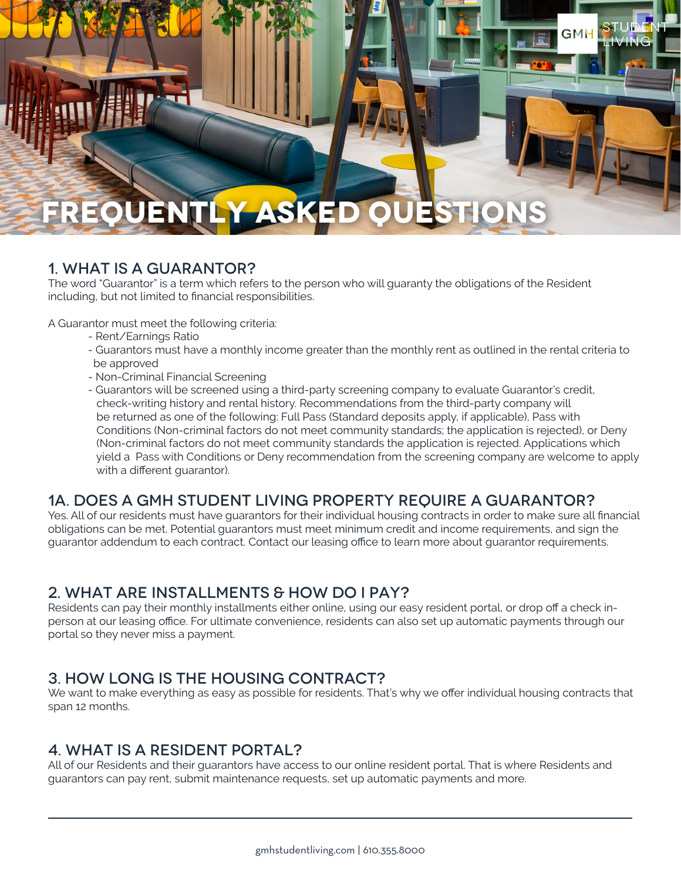# **ASKED O**

## 1. WHAT IS A GUARANTOR?

The word "Guarantor" is a term which refers to the person who will guaranty the obligations of the Resident including, but not limited to financial responsibilities.

A Guarantor must meet the following criteria:

- Rent/Earnings Ratio
- Guarantors must have a monthly income greater than the monthly rent as outlined in the rental criteria to be approved

GMH

- Non-Criminal Financial Screening
- Guarantors will be screened using a third-party screening company to evaluate Guarantor's credit, check-writing history and rental history. Recommendations from the third-party company will be returned as one of the following: Full Pass (Standard deposits apply, if applicable), Pass with Conditions (Non-criminal factors do not meet community standards; the application is rejected), or Deny (Non-criminal factors do not meet community standards the application is rejected. Applications which yield a Pass with Conditions or Deny recommendation from the screening company are welcome to apply with a different guarantor).

#### 1A. DOES A GMH STUDENT LIVING PROPERTY REQUIRE A GUARANTOR?

Yes. All of our residents must have guarantors for their individual housing contracts in order to make sure all financial obligations can be met. Potential guarantors must meet minimum credit and income requirements, and sign the guarantor addendum to each contract. Contact our leasing office to learn more about guarantor requirements.

# 2. WHAT ARE INSTALLMENTS & HOW DO I PAY?

Residents can pay their monthly installments either online, using our easy resident portal, or drop off a check inperson at our leasing office. For ultimate convenience, residents can also set up automatic payments through our portal so they never miss a payment.

#### 3. HOW LONG IS THE HOUSING CONTRACT?

We want to make everything as easy as possible for residents. That's why we offer individual housing contracts that span 12 months.

#### 4. WHAT IS A RESIDENT PORTAL?

All of our Residents and their guarantors have access to our online resident portal. That is where Residents and guarantors can pay rent, submit maintenance requests, set up automatic payments and more.